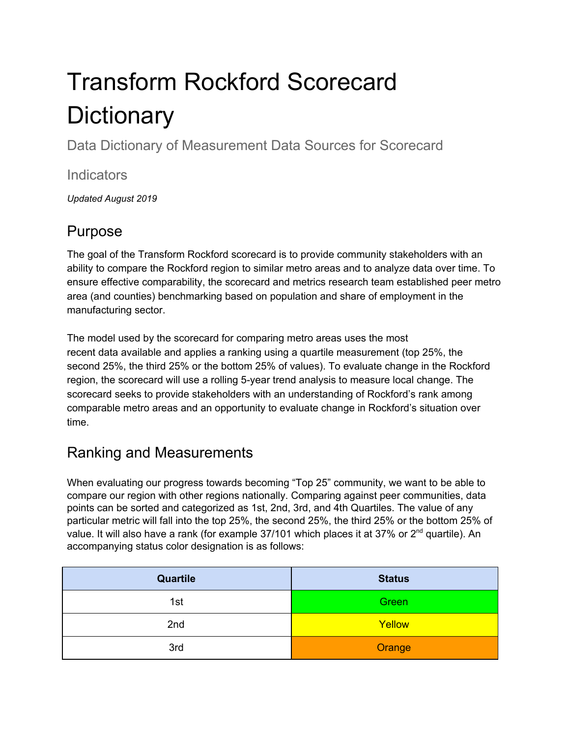# Transform Rockford Scorecard **Dictionary**

Data Dictionary of Measurement Data Sources for Scorecard

#### **Indicators**

*Updated August 2019*

## Purpose

The goal of the Transform Rockford scorecard is to provide community stakeholders with an ability to compare the Rockford region to similar metro areas and to analyze data over time. To ensure effective comparability, the scorecard and metrics research team established peer metro area (and counties) benchmarking based on population and share of employment in the manufacturing sector.

The model used by the scorecard for comparing metro areas uses the most recent data available and applies a ranking using a quartile measurement (top 25%, the second 25%, the third 25% or the bottom 25% of values). To evaluate change in the Rockford region, the scorecard will use a rolling 5-year trend analysis to measure local change. The scorecard seeks to provide stakeholders with an understanding of Rockford's rank among comparable metro areas and an opportunity to evaluate change in Rockford's situation over time.

## Ranking and Measurements

When evaluating our progress towards becoming "Top 25" community, we want to be able to compare our region with other regions nationally. Comparing against peer communities, data points can be sorted and categorized as 1st, 2nd, 3rd, and 4th Quartiles. The value of any particular metric will fall into the top 25%, the second 25%, the third 25% or the bottom 25% of value. It will also have a rank (for example 37/101 which places it at 37% or 2<sup>nd</sup> quartile). An accompanying status color designation is as follows:

| <b>Quartile</b> | <b>Status</b> |
|-----------------|---------------|
| 1st             | Green         |
| 2nd             | Yellow        |
| 3rd             | Orange        |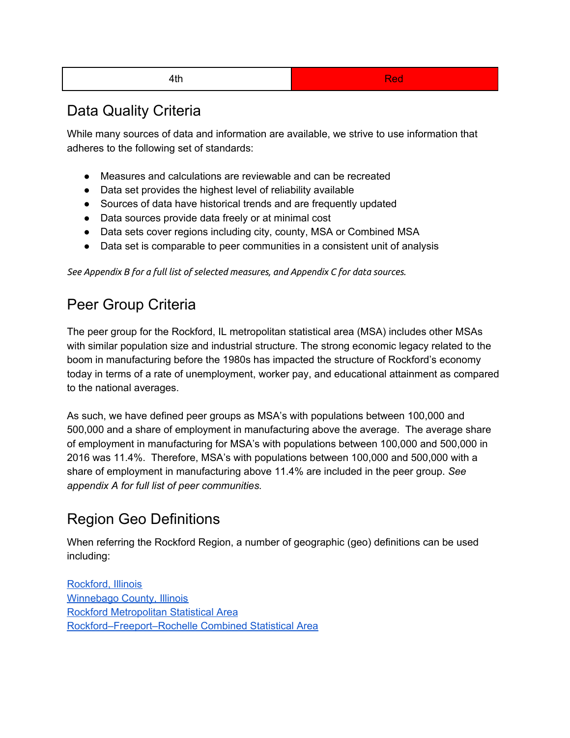#### 4th and the contract of the contract of the Red

### Data Quality Criteria

While many sources of data and information are available, we strive to use information that adheres to the following set of standards:

- Measures and calculations are reviewable and can be recreated
- Data set provides the highest level of reliability available
- Sources of data have historical trends and are frequently updated
- Data sources provide data freely or at minimal cost
- Data sets cover regions including city, county, MSA or Combined MSA
- Data set is comparable to peer communities in a consistent unit of analysis

*See Appendix B for a full list of selected measures, and Appendix C for data sources.*

## Peer Group Criteria

The peer group for the Rockford, IL metropolitan statistical area (MSA) includes other MSAs with similar population size and industrial structure. The strong economic legacy related to the boom in manufacturing before the 1980s has impacted the structure of Rockford's economy today in terms of a rate of unemployment, worker pay, and educational attainment as compared to the national averages.

As such, we have defined peer groups as MSA's with populations between 100,000 and 500,000 and a share of employment in manufacturing above the average. The average share of employment in manufacturing for MSA's with populations between 100,000 and 500,000 in 2016 was 11.4%. Therefore, MSA's with populations between 100,000 and 500,000 with a share of employment in manufacturing above 11.4% are included in the peer group. *See appendix A for full list of peer communities.*

## Region Geo Definitions

When referring the Rockford Region, a number of geographic (geo) definitions can be used including:

[Rockford,](https://en.wikipedia.org/wiki/Rockford,_Illinois) Illinois [Winnebago](https://en.wikipedia.org/wiki/Winnebago_County,_Illinois) County, Illinois Rockford [Metropolitan](https://en.wikipedia.org/wiki/Rockford_metropolitan_area,_Illinois) Statistical Area [Rockford–Freeport–Rochelle](https://en.wikipedia.org/wiki/Rockford_metropolitan_area,_Illinois#Combined_Statistical_Area) Combined Statistical Area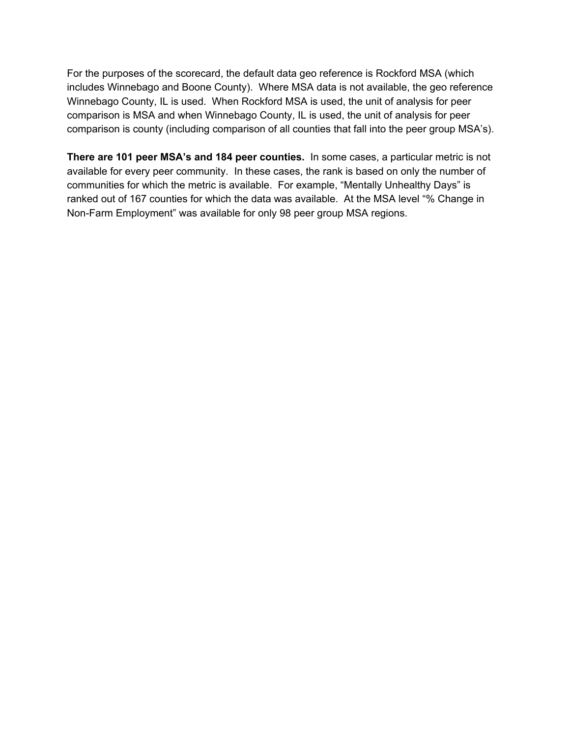For the purposes of the scorecard, the default data geo reference is Rockford MSA (which includes Winnebago and Boone County). Where MSA data is not available, the geo reference Winnebago County, IL is used. When Rockford MSA is used, the unit of analysis for peer comparison is MSA and when Winnebago County, IL is used, the unit of analysis for peer comparison is county (including comparison of all counties that fall into the peer group MSA's).

**There are 101 peer MSA's and 184 peer counties.** In some cases, a particular metric is not available for every peer community. In these cases, the rank is based on only the number of communities for which the metric is available. For example, "Mentally Unhealthy Days" is ranked out of 167 counties for which the data was available. At the MSA level "% Change in Non-Farm Employment" was available for only 98 peer group MSA regions.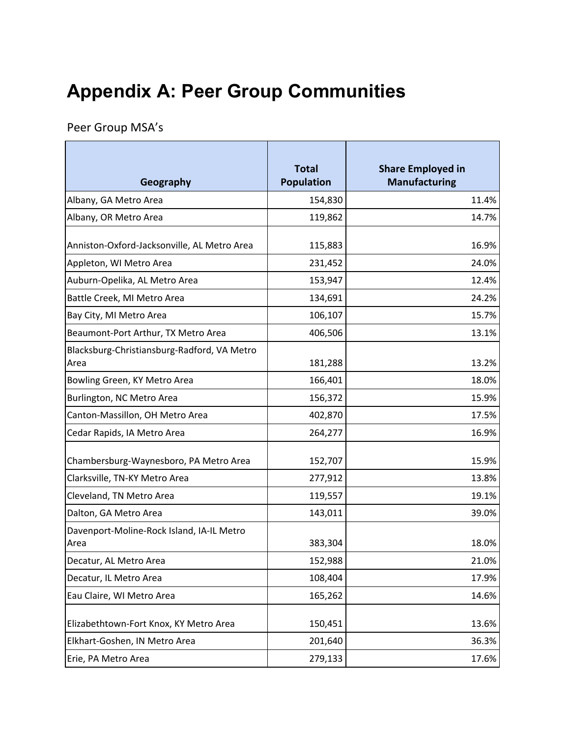## **Appendix A: Peer Group Communities**

Peer Group MSA's

| Geography                                           | <b>Total</b><br><b>Population</b> | <b>Share Employed in</b><br><b>Manufacturing</b> |
|-----------------------------------------------------|-----------------------------------|--------------------------------------------------|
| Albany, GA Metro Area                               | 154,830                           | 11.4%                                            |
| Albany, OR Metro Area                               | 119,862                           | 14.7%                                            |
| Anniston-Oxford-Jacksonville, AL Metro Area         | 115,883                           | 16.9%                                            |
| Appleton, WI Metro Area                             | 231,452                           | 24.0%                                            |
| Auburn-Opelika, AL Metro Area                       | 153,947                           | 12.4%                                            |
| Battle Creek, MI Metro Area                         | 134,691                           | 24.2%                                            |
| Bay City, MI Metro Area                             | 106,107                           | 15.7%                                            |
| Beaumont-Port Arthur, TX Metro Area                 | 406,506                           | 13.1%                                            |
| Blacksburg-Christiansburg-Radford, VA Metro<br>Area | 181,288                           | 13.2%                                            |
| Bowling Green, KY Metro Area                        | 166,401                           | 18.0%                                            |
| Burlington, NC Metro Area                           | 156,372                           | 15.9%                                            |
| Canton-Massillon, OH Metro Area                     | 402,870                           | 17.5%                                            |
| Cedar Rapids, IA Metro Area                         | 264,277                           | 16.9%                                            |
| Chambersburg-Waynesboro, PA Metro Area              | 152,707                           | 15.9%                                            |
| Clarksville, TN-KY Metro Area                       | 277,912                           | 13.8%                                            |
| Cleveland, TN Metro Area                            | 119,557                           | 19.1%                                            |
| Dalton, GA Metro Area                               | 143,011                           | 39.0%                                            |
| Davenport-Moline-Rock Island, IA-IL Metro<br>Area   | 383,304                           | 18.0%                                            |
| Decatur, AL Metro Area                              | 152,988                           | 21.0%                                            |
| Decatur, IL Metro Area                              | 108,404                           | 17.9%                                            |
| Eau Claire, WI Metro Area                           | 165,262                           | 14.6%                                            |
| Elizabethtown-Fort Knox, KY Metro Area              | 150,451                           | 13.6%                                            |
| Elkhart-Goshen, IN Metro Area                       | 201,640                           | 36.3%                                            |
| Erie, PA Metro Area                                 | 279,133                           | 17.6%                                            |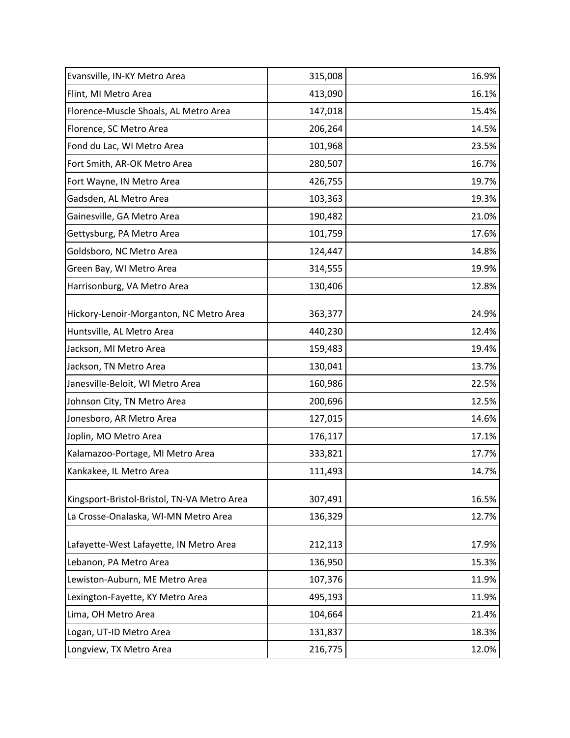| Evansville, IN-KY Metro Area                | 315,008 | 16.9% |
|---------------------------------------------|---------|-------|
| Flint, MI Metro Area                        | 413,090 | 16.1% |
| Florence-Muscle Shoals, AL Metro Area       | 147,018 | 15.4% |
| Florence, SC Metro Area                     | 206,264 | 14.5% |
| Fond du Lac, WI Metro Area                  | 101,968 | 23.5% |
| Fort Smith, AR-OK Metro Area                | 280,507 | 16.7% |
| Fort Wayne, IN Metro Area                   | 426,755 | 19.7% |
| Gadsden, AL Metro Area                      | 103,363 | 19.3% |
| Gainesville, GA Metro Area                  | 190,482 | 21.0% |
| Gettysburg, PA Metro Area                   | 101,759 | 17.6% |
| Goldsboro, NC Metro Area                    | 124,447 | 14.8% |
| Green Bay, WI Metro Area                    | 314,555 | 19.9% |
| Harrisonburg, VA Metro Area                 | 130,406 | 12.8% |
| Hickory-Lenoir-Morganton, NC Metro Area     | 363,377 | 24.9% |
| Huntsville, AL Metro Area                   | 440,230 | 12.4% |
| Jackson, MI Metro Area                      | 159,483 | 19.4% |
| Jackson, TN Metro Area                      | 130,041 | 13.7% |
| Janesville-Beloit, WI Metro Area            | 160,986 | 22.5% |
| Johnson City, TN Metro Area                 | 200,696 | 12.5% |
| Jonesboro, AR Metro Area                    | 127,015 | 14.6% |
| Joplin, MO Metro Area                       | 176,117 | 17.1% |
| Kalamazoo-Portage, MI Metro Area            | 333,821 | 17.7% |
| Kankakee, IL Metro Area                     | 111,493 | 14.7% |
| Kingsport-Bristol-Bristol, TN-VA Metro Area | 307,491 | 16.5% |
| La Crosse-Onalaska, WI-MN Metro Area        | 136,329 | 12.7% |
| Lafayette-West Lafayette, IN Metro Area     | 212,113 | 17.9% |
| Lebanon, PA Metro Area                      | 136,950 | 15.3% |
| Lewiston-Auburn, ME Metro Area              | 107,376 | 11.9% |
| Lexington-Fayette, KY Metro Area            | 495,193 | 11.9% |
| Lima, OH Metro Area                         | 104,664 | 21.4% |
| Logan, UT-ID Metro Area                     | 131,837 | 18.3% |
| Longview, TX Metro Area                     | 216,775 | 12.0% |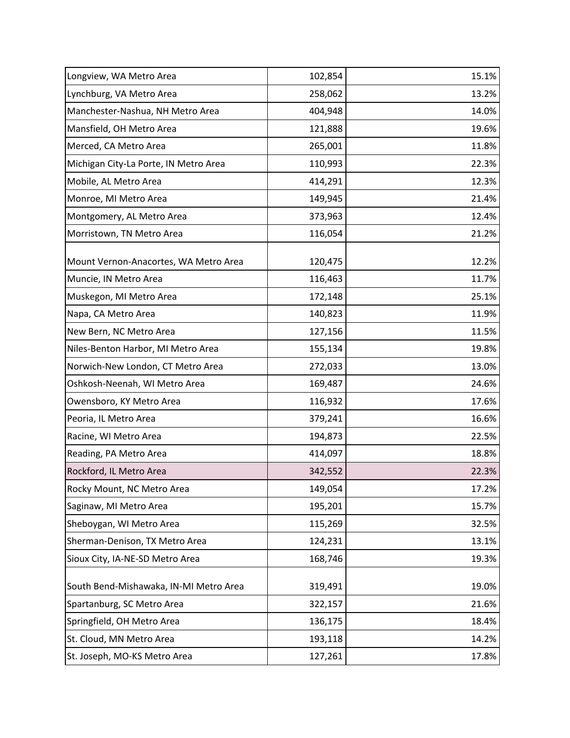| Longview, WA Metro Area                | 102,854 | 15.1% |
|----------------------------------------|---------|-------|
| Lynchburg, VA Metro Area               | 258,062 | 13.2% |
| Manchester-Nashua, NH Metro Area       | 404,948 | 14.0% |
| Mansfield, OH Metro Area               | 121,888 | 19.6% |
| Merced, CA Metro Area                  | 265,001 | 11.8% |
| Michigan City-La Porte, IN Metro Area  | 110,993 | 22.3% |
| Mobile, AL Metro Area                  | 414,291 | 12.3% |
| Monroe, MI Metro Area                  | 149,945 | 21.4% |
| Montgomery, AL Metro Area              | 373,963 | 12.4% |
| Morristown, TN Metro Area              | 116,054 | 21.2% |
| Mount Vernon-Anacortes, WA Metro Area  | 120,475 | 12.2% |
| Muncie, IN Metro Area                  | 116,463 | 11.7% |
| Muskegon, MI Metro Area                | 172,148 | 25.1% |
| Napa, CA Metro Area                    | 140,823 | 11.9% |
| New Bern, NC Metro Area                | 127,156 | 11.5% |
| Niles-Benton Harbor, MI Metro Area     | 155,134 | 19.8% |
| Norwich-New London, CT Metro Area      | 272,033 | 13.0% |
| Oshkosh-Neenah, WI Metro Area          | 169,487 | 24.6% |
| Owensboro, KY Metro Area               | 116,932 | 17.6% |
| Peoria, IL Metro Area                  | 379,241 | 16.6% |
| Racine, WI Metro Area                  | 194,873 | 22.5% |
| Reading, PA Metro Area                 | 414,097 | 18.8% |
| Rockford, IL Metro Area                | 342,552 | 22.3% |
| Rocky Mount, NC Metro Area             | 149,054 | 17.2% |
| Saginaw, MI Metro Area                 | 195,201 | 15.7% |
| Sheboygan, WI Metro Area               | 115,269 | 32.5% |
| Sherman-Denison, TX Metro Area         | 124,231 | 13.1% |
| Sioux City, IA-NE-SD Metro Area        | 168,746 | 19.3% |
| South Bend-Mishawaka, IN-MI Metro Area | 319,491 | 19.0% |
| Spartanburg, SC Metro Area             | 322,157 | 21.6% |
| Springfield, OH Metro Area             | 136,175 | 18.4% |
| St. Cloud, MN Metro Area               | 193,118 | 14.2% |
| St. Joseph, MO-KS Metro Area           | 127,261 | 17.8% |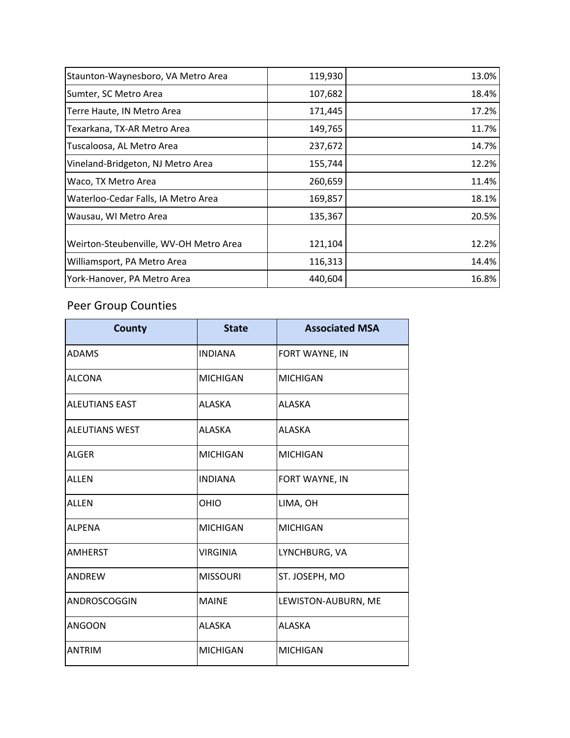| Staunton-Waynesboro, VA Metro Area     | 119,930 | 13.0% |
|----------------------------------------|---------|-------|
| Sumter, SC Metro Area                  | 107,682 | 18.4% |
| Terre Haute, IN Metro Area             | 171,445 | 17.2% |
| Texarkana, TX-AR Metro Area            | 149,765 | 11.7% |
| Tuscaloosa, AL Metro Area              | 237,672 | 14.7% |
| Vineland-Bridgeton, NJ Metro Area      | 155,744 | 12.2% |
| Waco, TX Metro Area                    | 260,659 | 11.4% |
| Waterloo-Cedar Falls, IA Metro Area    | 169,857 | 18.1% |
| Wausau, WI Metro Area                  | 135,367 | 20.5% |
|                                        |         |       |
| Weirton-Steubenville, WV-OH Metro Area | 121,104 | 12.2% |
| Williamsport, PA Metro Area            | 116,313 | 14.4% |
| York-Hanover, PA Metro Area            | 440,604 | 16.8% |

## Peer Group Counties

| <b>County</b>         | <b>State</b>    | <b>Associated MSA</b> |
|-----------------------|-----------------|-----------------------|
| <b>ADAMS</b>          | <b>INDIANA</b>  | FORT WAYNE, IN        |
| <b>ALCONA</b>         | <b>MICHIGAN</b> | <b>MICHIGAN</b>       |
| <b>ALEUTIANS EAST</b> | <b>ALASKA</b>   | <b>ALASKA</b>         |
| <b>ALEUTIANS WEST</b> | <b>ALASKA</b>   | <b>ALASKA</b>         |
| <b>ALGER</b>          | <b>MICHIGAN</b> | <b>MICHIGAN</b>       |
| <b>ALLEN</b>          | <b>INDIANA</b>  | FORT WAYNE, IN        |
| <b>ALLEN</b>          | <b>OHIO</b>     | LIMA, OH              |
| <b>ALPENA</b>         | <b>MICHIGAN</b> | <b>MICHIGAN</b>       |
| <b>AMHERST</b>        | <b>VIRGINIA</b> | LYNCHBURG, VA         |
| <b>ANDREW</b>         | <b>MISSOURI</b> | ST. JOSEPH, MO        |
| ANDROSCOGGIN          | <b>MAINE</b>    | LEWISTON-AUBURN, ME   |
| <b>ANGOON</b>         | <b>ALASKA</b>   | <b>ALASKA</b>         |
| <b>ANTRIM</b>         | <b>MICHIGAN</b> | <b>MICHIGAN</b>       |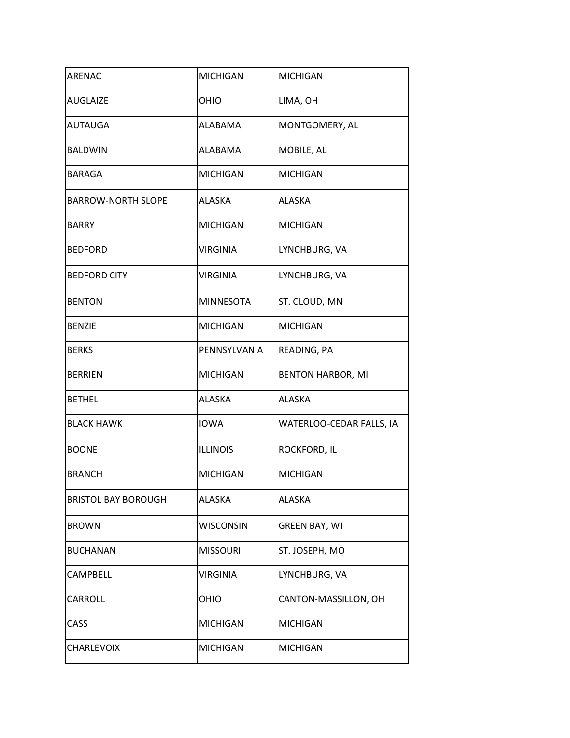| <b>ARENAC</b>              | <b>MICHIGAN</b>  | <b>MICHIGAN</b>          |
|----------------------------|------------------|--------------------------|
| <b>AUGLAIZE</b>            | OHIO             | LIMA, OH                 |
| <b>AUTAUGA</b>             | <b>ALABAMA</b>   | MONTGOMERY, AL           |
| <b>BALDWIN</b>             | <b>ALABAMA</b>   | MOBILE, AL               |
| <b>BARAGA</b>              | <b>MICHIGAN</b>  | <b>MICHIGAN</b>          |
| <b>BARROW-NORTH SLOPE</b>  | <b>ALASKA</b>    | <b>ALASKA</b>            |
| <b>BARRY</b>               | <b>MICHIGAN</b>  | <b>MICHIGAN</b>          |
| <b>BEDFORD</b>             | <b>VIRGINIA</b>  | LYNCHBURG, VA            |
| <b>BEDFORD CITY</b>        | <b>VIRGINIA</b>  | LYNCHBURG, VA            |
| <b>BENTON</b>              | <b>MINNESOTA</b> | ST. CLOUD, MN            |
| <b>BENZIE</b>              | <b>MICHIGAN</b>  | <b>MICHIGAN</b>          |
| <b>BERKS</b>               | PENNSYLVANIA     | READING, PA              |
| <b>BERRIEN</b>             | <b>MICHIGAN</b>  | <b>BENTON HARBOR, MI</b> |
| <b>BETHEL</b>              | <b>ALASKA</b>    | <b>ALASKA</b>            |
| <b>BLACK HAWK</b>          | <b>IOWA</b>      | WATERLOO-CEDAR FALLS, IA |
| <b>BOONE</b>               | <b>ILLINOIS</b>  | ROCKFORD, IL             |
| <b>BRANCH</b>              | <b>MICHIGAN</b>  | <b>MICHIGAN</b>          |
| <b>BRISTOL BAY BOROUGH</b> | ALASKA           | <b>ALASKA</b>            |
| <b>BROWN</b>               | <b>WISCONSIN</b> | <b>GREEN BAY, WI</b>     |
| <b>BUCHANAN</b>            | <b>MISSOURI</b>  | ST. JOSEPH, MO           |
| <b>CAMPBELL</b>            | <b>VIRGINIA</b>  | LYNCHBURG, VA            |
| CARROLL                    | OHIO             | CANTON-MASSILLON, OH     |
| CASS                       | <b>MICHIGAN</b>  | <b>MICHIGAN</b>          |
| <b>CHARLEVOIX</b>          | <b>MICHIGAN</b>  | <b>MICHIGAN</b>          |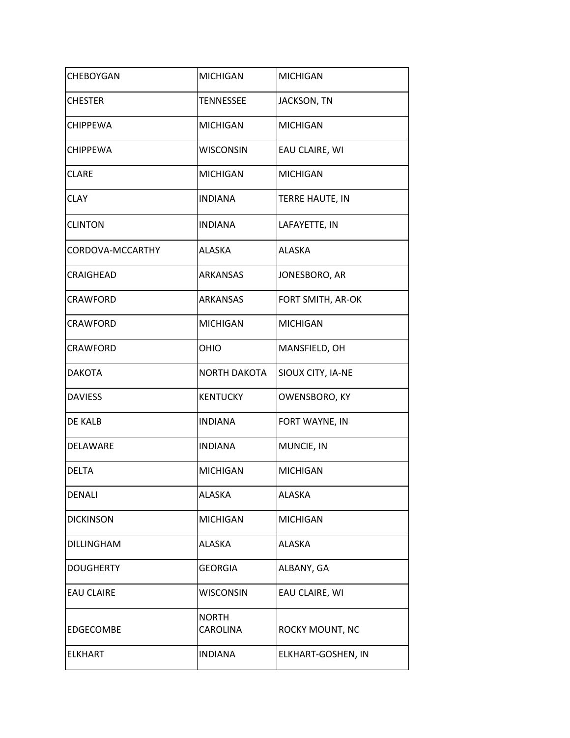| <b>CHEBOYGAN</b>  | <b>MICHIGAN</b>                 | <b>MICHIGAN</b>    |
|-------------------|---------------------------------|--------------------|
|                   |                                 |                    |
| <b>CHESTER</b>    | TENNESSEE                       | JACKSON, TN        |
| <b>CHIPPEWA</b>   | <b>MICHIGAN</b>                 | <b>MICHIGAN</b>    |
| <b>CHIPPEWA</b>   | <b>WISCONSIN</b>                | EAU CLAIRE, WI     |
| <b>CLARE</b>      | <b>MICHIGAN</b>                 | <b>MICHIGAN</b>    |
| <b>CLAY</b>       | <b>INDIANA</b>                  | TERRE HAUTE, IN    |
| <b>CLINTON</b>    | <b>INDIANA</b>                  | LAFAYETTE, IN      |
| CORDOVA-MCCARTHY  | <b>ALASKA</b>                   | <b>ALASKA</b>      |
| <b>CRAIGHEAD</b>  | ARKANSAS                        | JONESBORO, AR      |
| <b>CRAWFORD</b>   | <b>ARKANSAS</b>                 | FORT SMITH, AR-OK  |
| <b>CRAWFORD</b>   | <b>MICHIGAN</b>                 | <b>MICHIGAN</b>    |
| <b>CRAWFORD</b>   | OHIO                            | MANSFIELD, OH      |
| <b>DAKOTA</b>     | <b>NORTH DAKOTA</b>             | SIOUX CITY, IA-NE  |
| <b>DAVIESS</b>    | <b>KENTUCKY</b>                 | OWENSBORO, KY      |
| DE KALB           | <b>INDIANA</b>                  | FORT WAYNE, IN     |
| DELAWARE          | <b>INDIANA</b>                  | MUNCIE, IN         |
| <b>DELTA</b>      | <b>MICHIGAN</b>                 | <b>MICHIGAN</b>    |
| <b>DENALI</b>     | <b>ALASKA</b>                   | <b>ALASKA</b>      |
| <b>DICKINSON</b>  | <b>MICHIGAN</b>                 | <b>MICHIGAN</b>    |
| <b>DILLINGHAM</b> | ALASKA                          | <b>ALASKA</b>      |
| <b>DOUGHERTY</b>  | <b>GEORGIA</b>                  | ALBANY, GA         |
| <b>EAU CLAIRE</b> | <b>WISCONSIN</b>                | EAU CLAIRE, WI     |
| EDGECOMBE         | <b>NORTH</b><br><b>CAROLINA</b> | ROCKY MOUNT, NC    |
| <b>ELKHART</b>    | <b>INDIANA</b>                  | ELKHART-GOSHEN, IN |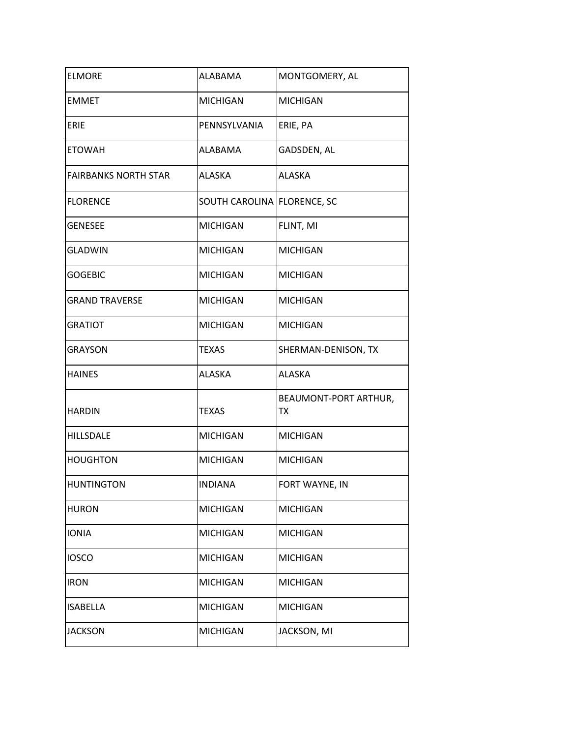| <b>ELMORE</b>               | <b>ALABAMA</b>              | MONTGOMERY, AL              |
|-----------------------------|-----------------------------|-----------------------------|
| <b>EMMET</b>                | <b>MICHIGAN</b>             | <b>MICHIGAN</b>             |
| ERIE                        | PENNSYLVANIA                | ERIE, PA                    |
| <b>ETOWAH</b>               | ALABAMA                     | GADSDEN, AL                 |
| <b>FAIRBANKS NORTH STAR</b> | <b>ALASKA</b>               | <b>ALASKA</b>               |
| <b>FLORENCE</b>             | SOUTH CAROLINA FLORENCE, SC |                             |
| <b>GENESEE</b>              | <b>MICHIGAN</b>             | FLINT, MI                   |
| <b>GLADWIN</b>              | <b>MICHIGAN</b>             | <b>MICHIGAN</b>             |
| <b>GOGEBIC</b>              | <b>MICHIGAN</b>             | <b>MICHIGAN</b>             |
| <b>GRAND TRAVERSE</b>       | <b>MICHIGAN</b>             | <b>MICHIGAN</b>             |
| <b>GRATIOT</b>              | <b>MICHIGAN</b>             | <b>MICHIGAN</b>             |
| <b>GRAYSON</b>              | <b>TEXAS</b>                | SHERMAN-DENISON, TX         |
| <b>HAINES</b>               | <b>ALASKA</b>               | <b>ALASKA</b>               |
| <b>HARDIN</b>               | <b>TEXAS</b>                | BEAUMONT-PORT ARTHUR,<br>ТX |
| <b>HILLSDALE</b>            | <b>MICHIGAN</b>             | <b>MICHIGAN</b>             |
| <b>HOUGHTON</b>             | <b>MICHIGAN</b>             | <b>MICHIGAN</b>             |
| <b>HUNTINGTON</b>           | <b>INDIANA</b>              | FORT WAYNE, IN              |
| <b>HURON</b>                | <b>MICHIGAN</b>             | <b>MICHIGAN</b>             |
| <b>IONIA</b>                | <b>MICHIGAN</b>             | <b>MICHIGAN</b>             |
| <b>IOSCO</b>                | <b>MICHIGAN</b>             | <b>MICHIGAN</b>             |
| <b>IRON</b>                 | <b>MICHIGAN</b>             | <b>MICHIGAN</b>             |
| <b>ISABELLA</b>             | <b>MICHIGAN</b>             | <b>MICHIGAN</b>             |
| <b>JACKSON</b>              | <b>MICHIGAN</b>             | JACKSON, MI                 |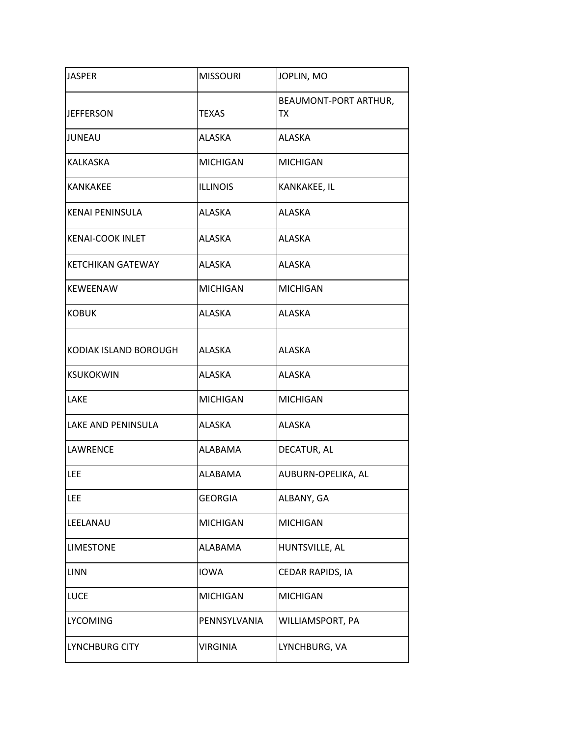| <b>JASPER</b>            | <b>MISSOURI</b> | JOPLIN, MO                  |
|--------------------------|-----------------|-----------------------------|
| <b>JEFFERSON</b>         | <b>TEXAS</b>    | BEAUMONT-PORT ARTHUR,<br>ТX |
| JUNEAU                   | ALASKA          | <b>ALASKA</b>               |
| <b>KALKASKA</b>          | <b>MICHIGAN</b> | <b>MICHIGAN</b>             |
| <b>KANKAKEE</b>          | <b>ILLINOIS</b> | KANKAKEE, IL                |
| <b>KENAI PENINSULA</b>   | <b>ALASKA</b>   | <b>ALASKA</b>               |
| <b>KENAI-COOK INLET</b>  | <b>ALASKA</b>   | <b>ALASKA</b>               |
| <b>KETCHIKAN GATEWAY</b> | <b>ALASKA</b>   | <b>ALASKA</b>               |
| <b>KEWEENAW</b>          | <b>MICHIGAN</b> | <b>MICHIGAN</b>             |
| <b>KOBUK</b>             | <b>ALASKA</b>   | <b>ALASKA</b>               |
| KODIAK ISLAND BOROUGH    | <b>ALASKA</b>   | <b>ALASKA</b>               |
| <b>KSUKOKWIN</b>         | <b>ALASKA</b>   | <b>ALASKA</b>               |
| LAKE                     | <b>MICHIGAN</b> | <b>MICHIGAN</b>             |
| LAKE AND PENINSULA       | <b>ALASKA</b>   | <b>ALASKA</b>               |
| <b>LAWRENCE</b>          | ALABAMA         | DECATUR, AL                 |
| LEE                      | ALABAMA         | AUBURN-OPELIKA, AL          |
| <b>LEE</b>               | <b>GEORGIA</b>  | ALBANY, GA                  |
| LEELANAU                 | <b>MICHIGAN</b> | <b>MICHIGAN</b>             |
| <b>LIMESTONE</b>         | ALABAMA         | HUNTSVILLE, AL              |
| <b>LINN</b>              | <b>IOWA</b>     | CEDAR RAPIDS, IA            |
| <b>LUCE</b>              | <b>MICHIGAN</b> | <b>MICHIGAN</b>             |
| <b>LYCOMING</b>          | PENNSYLVANIA    | WILLIAMSPORT, PA            |
| LYNCHBURG CITY           | <b>VIRGINIA</b> | LYNCHBURG, VA               |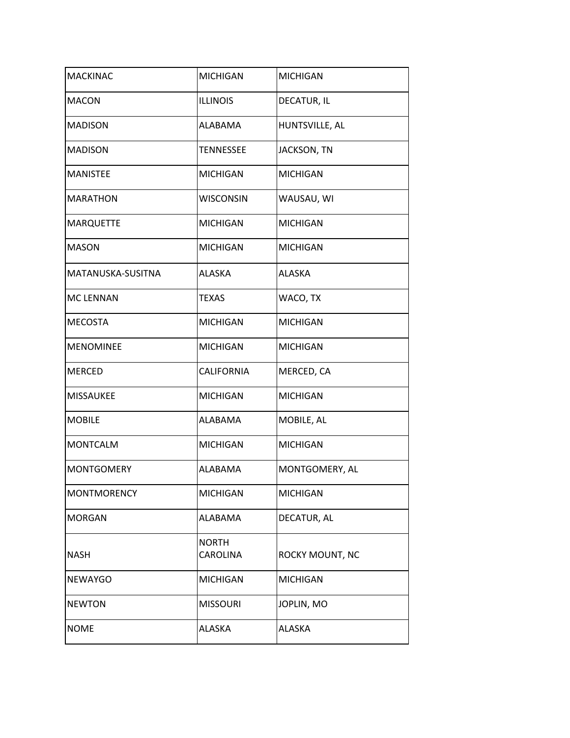| <b>MACKINAC</b>    | <b>MICHIGAN</b>          | <b>MICHIGAN</b> |
|--------------------|--------------------------|-----------------|
| <b>MACON</b>       | <b>ILLINOIS</b>          | DECATUR, IL     |
| <b>MADISON</b>     | ALABAMA                  | HUNTSVILLE, AL  |
| <b>MADISON</b>     | TENNESSEE                | JACKSON, TN     |
| <b>MANISTEE</b>    | <b>MICHIGAN</b>          | <b>MICHIGAN</b> |
| <b>MARATHON</b>    | <b>WISCONSIN</b>         | WAUSAU, WI      |
| <b>MARQUETTE</b>   | <b>MICHIGAN</b>          | <b>MICHIGAN</b> |
| <b>MASON</b>       | <b>MICHIGAN</b>          | <b>MICHIGAN</b> |
| MATANUSKA-SUSITNA  | <b>ALASKA</b>            | <b>ALASKA</b>   |
| <b>MC LENNAN</b>   | TEXAS                    | WACO, TX        |
| <b>MECOSTA</b>     | <b>MICHIGAN</b>          | <b>MICHIGAN</b> |
| <b>MENOMINEE</b>   | <b>MICHIGAN</b>          | <b>MICHIGAN</b> |
| <b>MERCED</b>      | <b>CALIFORNIA</b>        | MERCED, CA      |
| <b>MISSAUKEE</b>   | <b>MICHIGAN</b>          | <b>MICHIGAN</b> |
| <b>MOBILE</b>      | ALABAMA                  | MOBILE, AL      |
| <b>MONTCALM</b>    | <b>MICHIGAN</b>          | <b>MICHIGAN</b> |
| <b>MONTGOMERY</b>  | <b>ALABAMA</b>           | MONTGOMERY, AL  |
| <b>MONTMORENCY</b> | <b>MICHIGAN</b>          | <b>MICHIGAN</b> |
| <b>MORGAN</b>      | ALABAMA                  | DECATUR, AL     |
| <b>NASH</b>        | <b>NORTH</b><br>CAROLINA | ROCKY MOUNT, NC |
| <b>NEWAYGO</b>     | <b>MICHIGAN</b>          | <b>MICHIGAN</b> |
| <b>NEWTON</b>      | <b>MISSOURI</b>          | JOPLIN, MO      |
| <b>NOME</b>        | ALASKA                   | <b>ALASKA</b>   |
|                    |                          |                 |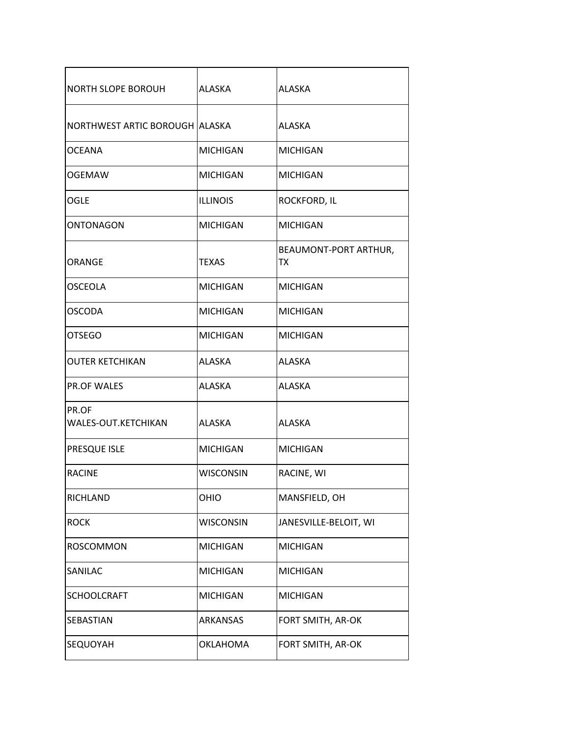| <b>NORTH SLOPE BOROUH</b>      | <b>ALASKA</b>    | <b>ALASKA</b>                      |
|--------------------------------|------------------|------------------------------------|
| NORTHWEST ARTIC BOROUGH ALASKA |                  | ALASKA                             |
| <b>OCEANA</b>                  | <b>MICHIGAN</b>  | <b>MICHIGAN</b>                    |
| <b>OGEMAW</b>                  | <b>MICHIGAN</b>  | <b>MICHIGAN</b>                    |
| OGLE                           | <b>ILLINOIS</b>  | <b>ROCKFORD, IL</b>                |
| <b>ONTONAGON</b>               | <b>MICHIGAN</b>  | <b>MICHIGAN</b>                    |
| ORANGE                         | <b>TEXAS</b>     | BEAUMONT-PORT ARTHUR,<br><b>TX</b> |
| OSCEOLA                        | <b>MICHIGAN</b>  | <b>MICHIGAN</b>                    |
| <b>OSCODA</b>                  | <b>MICHIGAN</b>  | <b>MICHIGAN</b>                    |
| <b>OTSEGO</b>                  | <b>MICHIGAN</b>  | <b>MICHIGAN</b>                    |
| <b>OUTER KETCHIKAN</b>         | <b>ALASKA</b>    | <b>ALASKA</b>                      |
| <b>PR.OF WALES</b>             | ALASKA           | ALASKA                             |
| PR.OF<br>WALES-OUT.KETCHIKAN   | <b>ALASKA</b>    | <b>ALASKA</b>                      |
| PRESQUE ISLE                   | <b>MICHIGAN</b>  | <b>MICHIGAN</b>                    |
| <b>RACINE</b>                  | <b>WISCONSIN</b> | RACINE, WI                         |
| <b>RICHLAND</b>                | OHIO             | MANSFIELD, OH                      |
| <b>ROCK</b>                    | <b>WISCONSIN</b> | JANESVILLE-BELOIT, WI              |
| <b>ROSCOMMON</b>               | <b>MICHIGAN</b>  | <b>MICHIGAN</b>                    |
| SANILAC                        | <b>MICHIGAN</b>  | <b>MICHIGAN</b>                    |
| <b>SCHOOLCRAFT</b>             | <b>MICHIGAN</b>  | <b>MICHIGAN</b>                    |
| SEBASTIAN                      | ARKANSAS         | FORT SMITH, AR-OK                  |
| SEQUOYAH                       | <b>OKLAHOMA</b>  | FORT SMITH, AR-OK                  |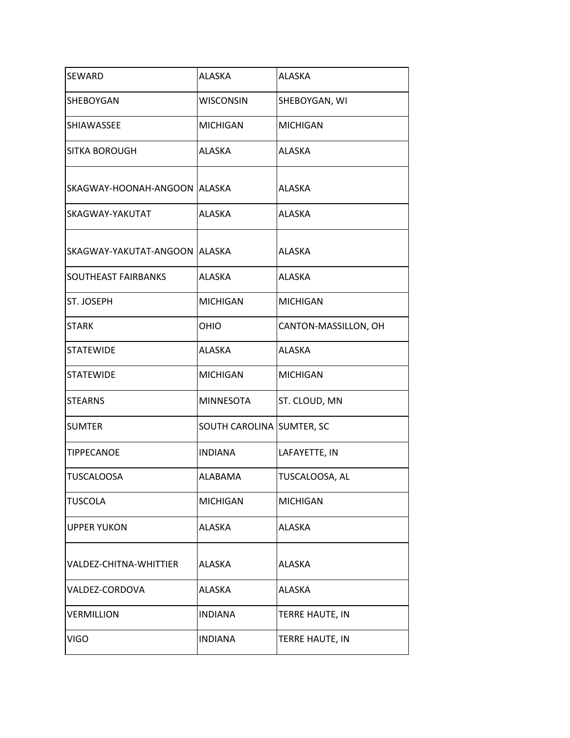| SEWARD                         | <b>ALASKA</b>             | <b>ALASKA</b>        |
|--------------------------------|---------------------------|----------------------|
| SHEBOYGAN                      | <b>WISCONSIN</b>          | SHEBOYGAN, WI        |
| SHIAWASSEE                     | <b>MICHIGAN</b>           | <b>MICHIGAN</b>      |
| <b>SITKA BOROUGH</b>           | ALASKA                    | <b>ALASKA</b>        |
| SKAGWAY-HOONAH-ANGOON   ALASKA |                           | <b>ALASKA</b>        |
| SKAGWAY-YAKUTAT                | <b>ALASKA</b>             | <b>ALASKA</b>        |
| SKAGWAY-YAKUTAT-ANGOON ALASKA  |                           | <b>ALASKA</b>        |
| SOUTHEAST FAIRBANKS            | <b>ALASKA</b>             | <b>ALASKA</b>        |
| ST. JOSEPH                     | <b>MICHIGAN</b>           | <b>MICHIGAN</b>      |
| <b>STARK</b>                   | OHIO                      | CANTON-MASSILLON, OH |
| <b>STATEWIDE</b>               | ALASKA                    | <b>ALASKA</b>        |
| <b>STATEWIDE</b>               | <b>MICHIGAN</b>           | <b>MICHIGAN</b>      |
| <b>STEARNS</b>                 | <b>MINNESOTA</b>          | ST. CLOUD, MN        |
| <b>SUMTER</b>                  | SOUTH CAROLINA SUMTER, SC |                      |
| <b>TIPPECANOE</b>              | <b>INDIANA</b>            | LAFAYETTE, IN        |
| <b>TUSCALOOSA</b>              | ALABAMA                   | TUSCALOOSA, AL       |
| <b>TUSCOLA</b>                 | <b>MICHIGAN</b>           | <b>MICHIGAN</b>      |
| <b>UPPER YUKON</b>             | ALASKA                    | <b>ALASKA</b>        |
| VALDEZ-CHITNA-WHITTIER         | <b>ALASKA</b>             | <b>ALASKA</b>        |
| VALDEZ-CORDOVA                 | ALASKA                    | <b>ALASKA</b>        |
| <b>VERMILLION</b>              | <b>INDIANA</b>            | TERRE HAUTE, IN      |
| <b>VIGO</b>                    | <b>INDIANA</b>            | TERRE HAUTE, IN      |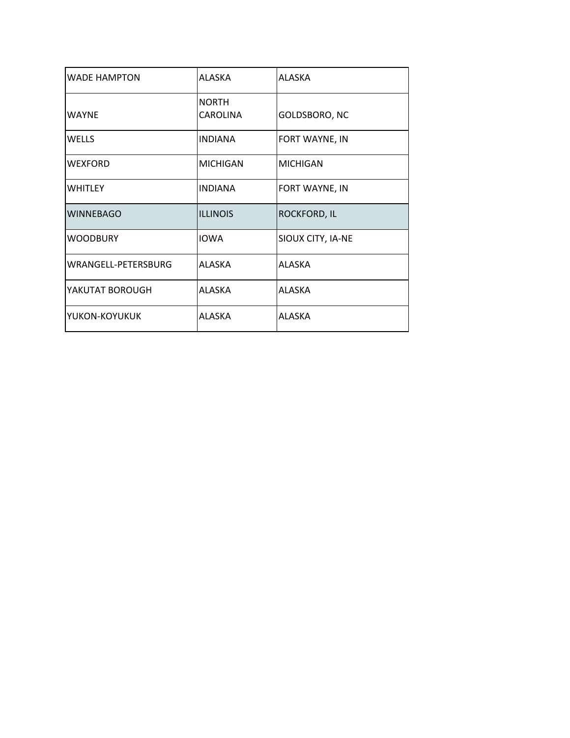| <b>WADE HAMPTON</b> | ALASKA          | <b>ALASKA</b>       |
|---------------------|-----------------|---------------------|
|                     | <b>NORTH</b>    |                     |
| <b>WAYNE</b>        | <b>CAROLINA</b> | GOLDSBORO, NC       |
| <b>WELLS</b>        | <b>INDIANA</b>  | FORT WAYNE, IN      |
| <b>WEXFORD</b>      | <b>MICHIGAN</b> | <b>MICHIGAN</b>     |
| <b>WHITLEY</b>      | <b>INDIANA</b>  | FORT WAYNE, IN      |
| <b>WINNEBAGO</b>    | <b>ILLINOIS</b> | <b>ROCKFORD, IL</b> |
| <b>WOODBURY</b>     | <b>IOWA</b>     | SIOUX CITY, IA-NE   |
| WRANGELL-PETERSBURG | ALASKA          | ALASKA              |
| YAKUTAT BOROUGH     | ALASKA          | <b>ALASKA</b>       |
| YUKON-KOYUKUK       | <b>ALASKA</b>   | ALASKA              |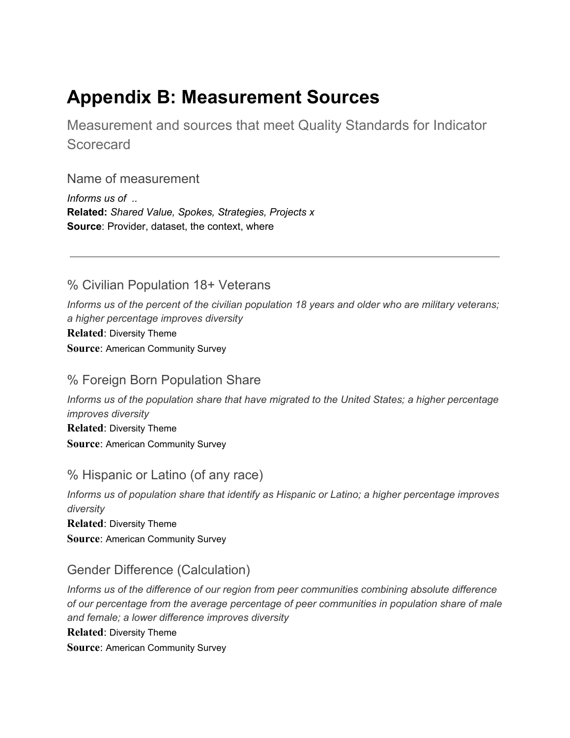## **Appendix B: Measurement Sources**

Measurement and sources that meet Quality Standards for Indicator **Scorecard** 

Name of measurement

*Informs us of ..* **Related:** *Shared Value, Spokes, Strategies, Projects x* **Source**: Provider, dataset, the context, where

% Civilian Population 18+ Veterans

*Informs us of the percent of the civilian population 18 years and older who are military veterans; a higher percentage improves diversity* **Related**: Diversity Theme **Source**: American Community Survey

#### % Foreign Born Population Share

*Informs us of the population share that have migrated to the United States; a higher percentage improves diversity* **Related**: Diversity Theme **Source**: American Community Survey

#### % Hispanic or Latino (of any race)

*Informs us of population share that identify as Hispanic or Latino; a higher percentage improves diversity* **Related**: Diversity Theme **Source**: American Community Survey

#### Gender Difference (Calculation)

*Informs us of the difference of our region from peer communities combining absolute difference of our percentage from the average percentage of peer communities in population share of male and female; a lower difference improves diversity*

**Related**: Diversity Theme

**Source**: American Community Survey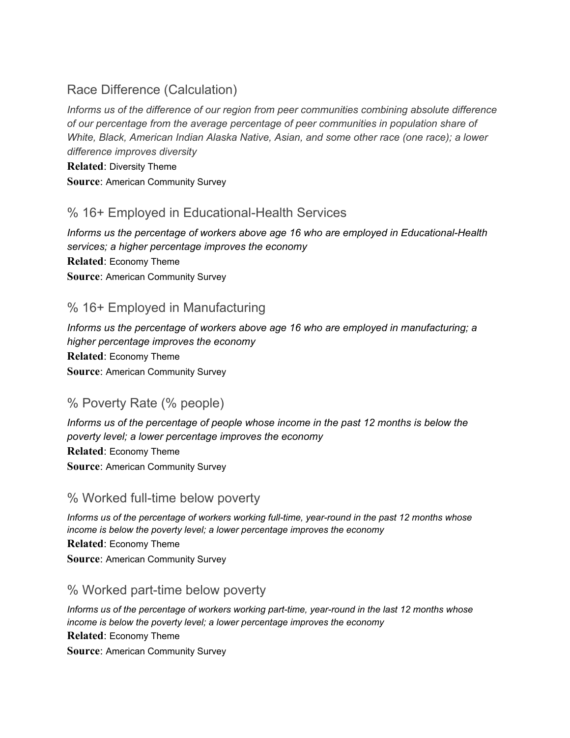#### Race Difference (Calculation)

*Informs us of the difference of our region from peer communities combining absolute difference of our percentage from the average percentage of peer communities in population share of White, Black, American Indian Alaska Native, Asian, and some other race (one race); a lower difference improves diversity*

**Related**: Diversity Theme

**Source**: American Community Survey

#### % 16+ Employed in Educational-Health Services

*Informs us the percentage of workers above age 16 who are employed in Educational-Health services; a higher percentage improves the economy* **Related**: Economy Theme **Source**: American Community Survey

#### % 16+ Employed in Manufacturing

*Informs us the percentage of workers above age 16 who are employed in manufacturing; a higher percentage improves the economy* **Related**: Economy Theme **Source**: American Community Survey

### % Poverty Rate (% people)

*Informs us of the percentage of people whose income in the past 12 months is below the poverty level; a lower percentage improves the economy* **Related**: Economy Theme **Source**: American Community Survey

#### % Worked full-time below poverty

*Informs us of the percentage of workers working full-time, year-round in the past 12 months whose income is below the poverty level; a lower percentage improves the economy* **Related**: Economy Theme **Source**: American Community Survey

#### % Worked part-time below poverty

*Informs us of the percentage of workers working part-time, year-round in the last 12 months whose income is below the poverty level; a lower percentage improves the economy* **Related**: Economy Theme **Source**: American Community Survey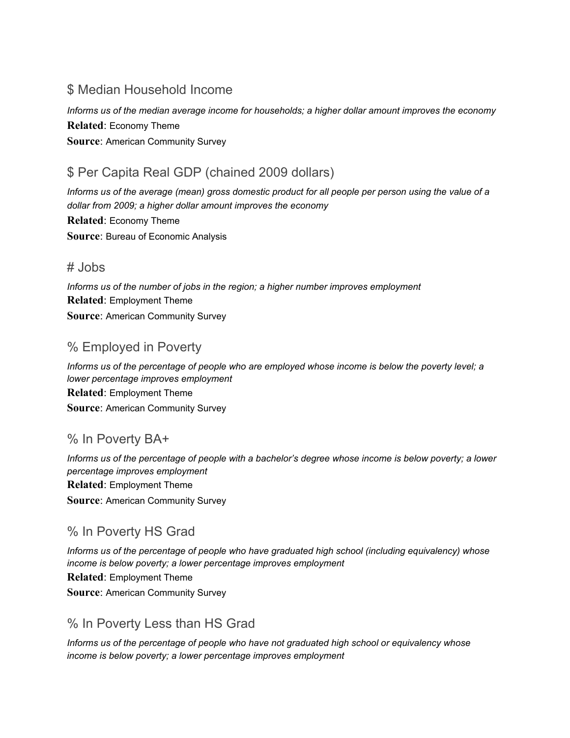#### \$ Median Household Income

*Informs us of the median average income for households; a higher dollar amount improves the economy* **Related**: Economy Theme **Source**: American Community Survey

### \$ Per Capita Real GDP (chained 2009 dollars)

Informs us of the average (mean) gross domestic product for all people per person using the value of a *dollar from 2009; a higher dollar amount improves the economy* **Related**: Economy Theme **Source**: Bureau of Economic Analysis

#### # Jobs

*Informs us of the number of jobs in the region; a higher number improves employment* **Related**: Employment Theme **Source**: American Community Survey

#### % Employed in Poverty

*Informs us of the percentage of people who are employed whose income is below the poverty level; a lower percentage improves employment* **Related**: Employment Theme **Source**: American Community Survey

#### % In Poverty BA+

Informs us of the percentage of people with a bachelor's degree whose income is below poverty; a lower *percentage improves employment* **Related**: Employment Theme **Source**: American Community Survey

#### % In Poverty HS Grad

*Informs us of the percentage of people who have graduated high school (including equivalency) whose income is below poverty; a lower percentage improves employment* **Related**: Employment Theme **Source**: American Community Survey

#### % In Poverty Less than HS Grad

*Informs us of the percentage of people who have not graduated high school or equivalency whose income is below poverty; a lower percentage improves employment*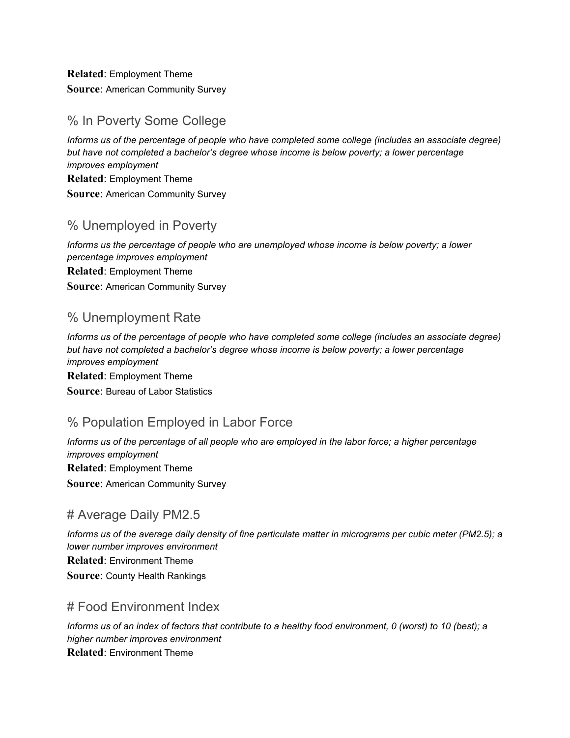**Related**: Employment Theme **Source**: American Community Survey

#### % In Poverty Some College

*Informs us of the percentage of people who have completed some college (includes an associate degree) but have not completed a bachelor's degree whose income is below poverty; a lower percentage improves employment* **Related**: Employment Theme **Source**: American Community Survey

#### % Unemployed in Poverty

*Informs us the percentage of people who are unemployed whose income is below poverty; a lower percentage improves employment* **Related**: Employment Theme **Source**: American Community Survey

#### % Unemployment Rate

*Informs us of the percentage of people who have completed some college (includes an associate degree) but have not completed a bachelor's degree whose income is below poverty; a lower percentage improves employment* **Related**: Employment Theme **Source**: Bureau of Labor Statistics

#### % Population Employed in Labor Force

Informs us of the percentage of all people who are employed in the labor force; a higher percentage *improves employment* **Related**: Employment Theme **Source**: American Community Survey

#### # Average Daily PM2.5

Informs us of the average daily density of fine particulate matter in micrograms per cubic meter (PM2.5); a *lower number improves environment* **Related**: Environment Theme **Source**: County Health Rankings

#### # Food Environment Index

Informs us of an index of factors that contribute to a healthy food environment, 0 (worst) to 10 (best); a *higher number improves environment* **Related**: Environment Theme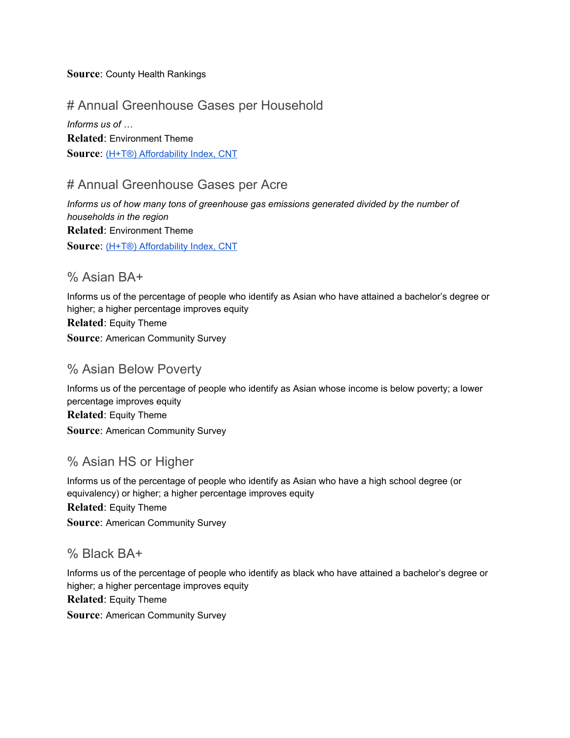#### **Source**: County Health Rankings

#### # Annual Greenhouse Gases per Household

*Informs us of …* **Related**: Environment Theme **Source**: (H+T®) [Affordability](https://htaindex.cnt.org/) Index, CNT

#### # Annual Greenhouse Gases per Acre

*Informs us of how many tons of greenhouse gas emissions generated divided by the number of households in the region* **Related**: Environment Theme **Source**: (H+T®) [Affordability](https://htaindex.cnt.org/) Index, CNT

#### % Asian BA+

Informs us of the percentage of people who identify as Asian who have attained a bachelor's degree or higher; a higher percentage improves equity **Related**: Equity Theme **Source**: American Community Survey

#### % Asian Below Poverty

Informs us of the percentage of people who identify as Asian whose income is below poverty; a lower percentage improves equity **Related**: Equity Theme **Source**: American Community Survey

#### % Asian HS or Higher

Informs us of the percentage of people who identify as Asian who have a high school degree (or equivalency) or higher; a higher percentage improves equity **Related**: Equity Theme **Source**: American Community Survey

#### % Black BA+

Informs us of the percentage of people who identify as black who have attained a bachelor's degree or higher; a higher percentage improves equity **Related**: Equity Theme **Source**: American Community Survey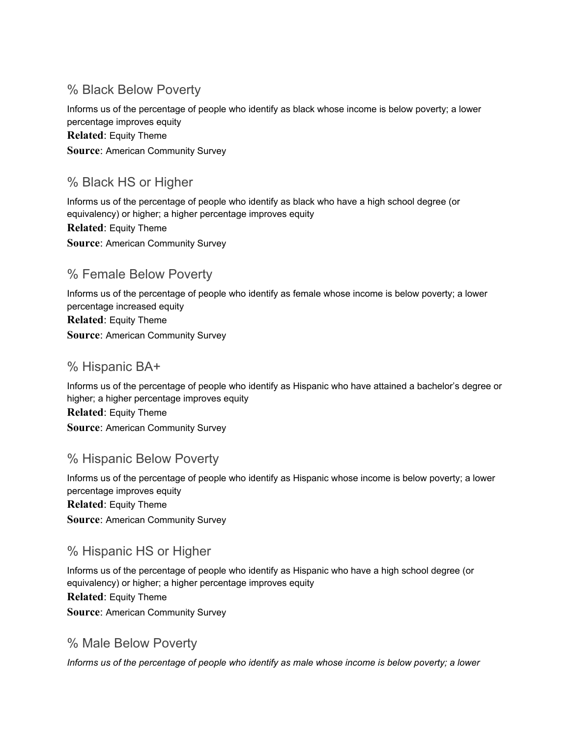#### % Black Below Poverty

Informs us of the percentage of people who identify as black whose income is below poverty; a lower percentage improves equity **Related**: Equity Theme **Source**: American Community Survey

#### % Black HS or Higher

Informs us of the percentage of people who identify as black who have a high school degree (or equivalency) or higher; a higher percentage improves equity **Related**: Equity Theme **Source**: American Community Survey

#### % Female Below Poverty

Informs us of the percentage of people who identify as female whose income is below poverty; a lower percentage increased equity **Related**: Equity Theme **Source**: American Community Survey

#### % Hispanic BA+

Informs us of the percentage of people who identify as Hispanic who have attained a bachelor's degree or higher; a higher percentage improves equity **Related**: Equity Theme **Source**: American Community Survey

#### % Hispanic Below Poverty

Informs us of the percentage of people who identify as Hispanic whose income is below poverty; a lower percentage improves equity **Related**: Equity Theme **Source**: American Community Survey

#### % Hispanic HS or Higher

Informs us of the percentage of people who identify as Hispanic who have a high school degree (or equivalency) or higher; a higher percentage improves equity **Related**: Equity Theme **Source**: American Community Survey

#### % Male Below Poverty

*Informs us of the percentage of people who identify as male whose income is below poverty; a lower*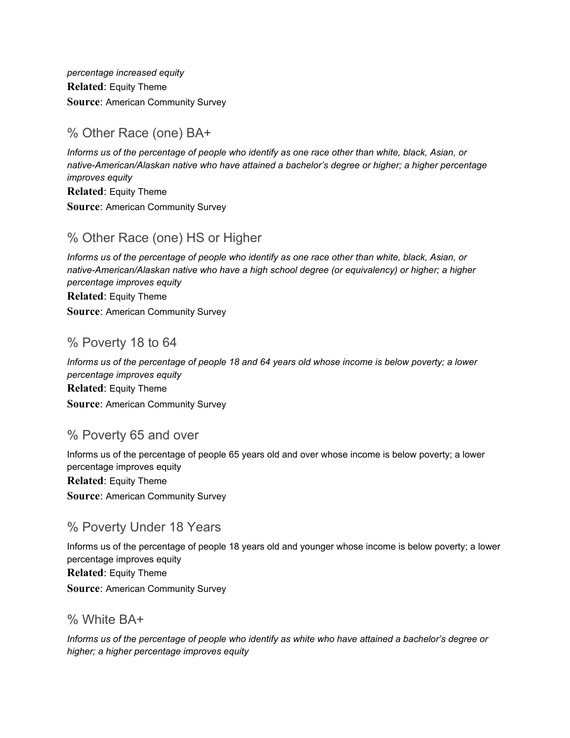*percentage increased equity* **Related**: Equity Theme **Source**: American Community Survey

#### % Other Race (one) BA+

*Informs us of the percentage of people who identify as one race other than white, black, Asian, or native-American/Alaskan native who have attained a bachelor's degree or higher; a higher percentage improves equity* **Related**: Equity Theme

**Source**: American Community Survey

#### % Other Race (one) HS or Higher

*Informs us of the percentage of people who identify as one race other than white, black, Asian, or native-American/Alaskan native who have a high school degree (or equivalency) or higher; a higher percentage improves equity* **Related**: Equity Theme

**Source**: American Community Survey

#### % Poverty 18 to 64

Informs us of the percentage of people 18 and 64 years old whose income is below poverty; a lower *percentage improves equity* **Related**: Equity Theme **Source**: American Community Survey

#### % Poverty 65 and over

Informs us of the percentage of people 65 years old and over whose income is below poverty; a lower percentage improves equity **Related**: Equity Theme **Source**: American Community Survey

#### % Poverty Under 18 Years

Informs us of the percentage of people 18 years old and younger whose income is below poverty; a lower percentage improves equity **Related**: Equity Theme **Source**: American Community Survey

#### % White BA+

Informs us of the percentage of people who identify as white who have attained a bachelor's degree or *higher; a higher percentage improves equity*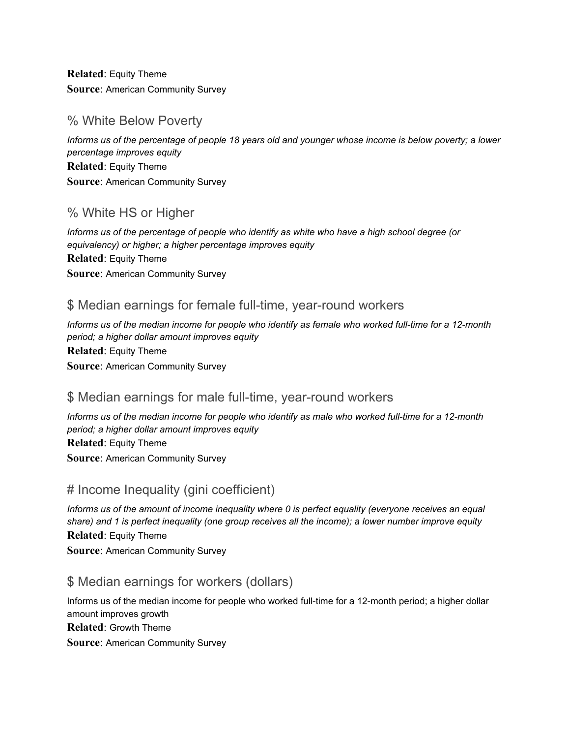**Related**: Equity Theme **Source**: American Community Survey

#### % White Below Poverty

Informs us of the percentage of people 18 years old and younger whose income is below poverty; a lower *percentage improves equity* **Related**: Equity Theme **Source**: American Community Survey

#### % White HS or Higher

*Informs us of the percentage of people who identify as white who have a high school degree (or equivalency) or higher; a higher percentage improves equity* **Related**: Equity Theme **Source**: American Community Survey

#### \$ Median earnings for female full-time, year-round workers

Informs us of the median income for people who identify as female who worked full-time for a 12-month *period; a higher dollar amount improves equity* **Related**: Equity Theme **Source**: American Community Survey

#### \$ Median earnings for male full-time, year-round workers

Informs us of the median income for people who identify as male who worked full-time for a 12-month *period; a higher dollar amount improves equity* **Related**: Equity Theme **Source**: American Community Survey

#### # Income Inequality (gini coefficient)

*Informs us of the amount of income inequality where 0 is perfect equality (everyone receives an equal share) and 1 is perfect inequality (one group receives all the income); a lower number improve equity* **Related**: Equity Theme

**Source**: American Community Survey

#### \$ Median earnings for workers (dollars)

Informs us of the median income for people who worked full-time for a 12-month period; a higher dollar amount improves growth **Related**: Growth Theme **Source**: American Community Survey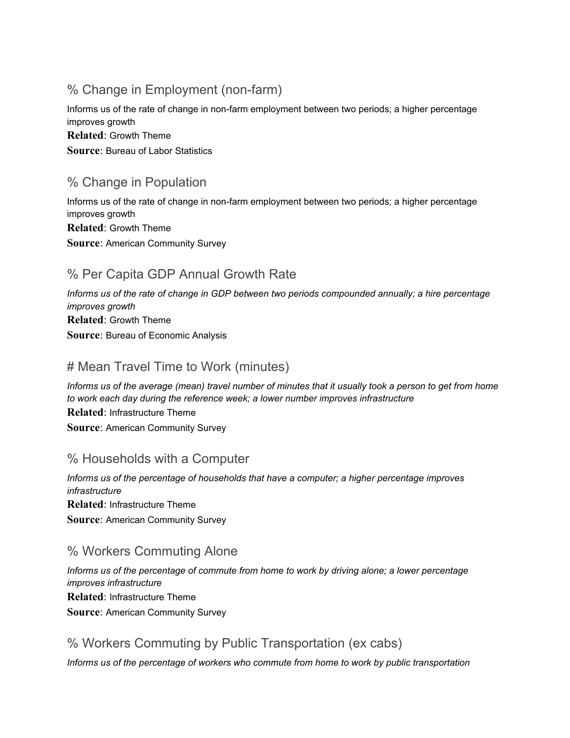#### % Change in Employment (non-farm)

Informs us of the rate of change in non-farm employment between two periods; a higher percentage improves growth **Related**: Growth Theme **Source**: Bureau of Labor Statistics

#### % Change in Population

Informs us of the rate of change in non-farm employment between two periods; a higher percentage improves growth **Related**: Growth Theme **Source**: American Community Survey

#### % Per Capita GDP Annual Growth Rate

*Informs us of the rate of change in GDP between two periods compounded annually; a hire percentage improves growth* **Related**: Growth Theme **Source**: Bureau of Economic Analysis

#### # Mean Travel Time to Work (minutes)

Informs us of the average (mean) travel number of minutes that it usually took a person to get from home *to work each day during the reference week; a lower number improves infrastructure* **Related**: Infrastructure Theme **Source**: American Community Survey

#### % Households with a Computer

*Informs us of the percentage of households that have a computer; a higher percentage improves infrastructure* **Related**: Infrastructure Theme **Source**: American Community Survey

#### % Workers Commuting Alone

*Informs us of the percentage of commute from home to work by driving alone; a lower percentage improves infrastructure* **Related**: Infrastructure Theme **Source**: American Community Survey

#### % Workers Commuting by Public Transportation (ex cabs)

*Informs us of the percentage of workers who commute from home to work by public transportation*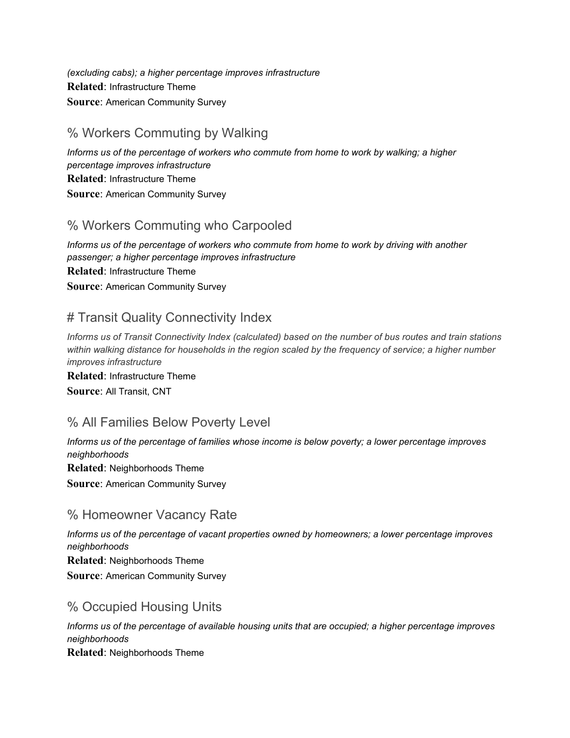*(excluding cabs); a higher percentage improves infrastructure* **Related**: Infrastructure Theme **Source**: American Community Survey

#### % Workers Commuting by Walking

*Informs us of the percentage of workers who commute from home to work by walking; a higher percentage improves infrastructure* **Related**: Infrastructure Theme **Source**: American Community Survey

#### % Workers Commuting who Carpooled

*Informs us of the percentage of workers who commute from home to work by driving with another passenger; a higher percentage improves infrastructure* **Related**: Infrastructure Theme **Source**: American Community Survey

#### # Transit Quality Connectivity Index

Informs us of Transit Connectivity Index (calculated) based on the number of bus routes and train stations *within walking distance for households in the region scaled by the frequency of service; a higher number improves infrastructure*

**Related**: Infrastructure Theme **Source**: All Transit, CNT

#### % All Families Below Poverty Level

*Informs us of the percentage of families whose income is below poverty; a lower percentage improves neighborhoods* **Related**: Neighborhoods Theme **Source**: American Community Survey

#### % Homeowner Vacancy Rate

*Informs us of the percentage of vacant properties owned by homeowners; a lower percentage improves neighborhoods* **Related**: Neighborhoods Theme **Source**: American Community Survey

#### % Occupied Housing Units

*Informs us of the percentage of available housing units that are occupied; a higher percentage improves neighborhoods* **Related**: Neighborhoods Theme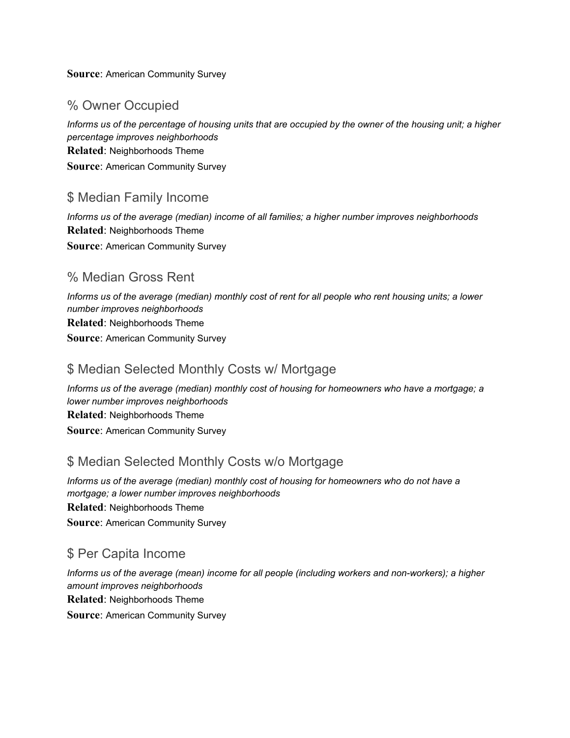#### **Source**: American Community Survey

#### % Owner Occupied

Informs us of the percentage of housing units that are occupied by the owner of the housing unit; a higher *percentage improves neighborhoods* **Related**: Neighborhoods Theme **Source**: American Community Survey

#### \$ Median Family Income

*Informs us of the average (median) income of all families; a higher number improves neighborhoods* **Related**: Neighborhoods Theme **Source**: American Community Survey

#### % Median Gross Rent

Informs us of the average (median) monthly cost of rent for all people who rent housing units; a lower *number improves neighborhoods* **Related**: Neighborhoods Theme **Source**: American Community Survey

#### \$ Median Selected Monthly Costs w/ Mortgage

*Informs us of the average (median) monthly cost of housing for homeowners who have a mortgage; a lower number improves neighborhoods* **Related**: Neighborhoods Theme **Source**: American Community Survey

#### \$ Median Selected Monthly Costs w/o Mortgage

*Informs us of the average (median) monthly cost of housing for homeowners who do not have a mortgage; a lower number improves neighborhoods* **Related**: Neighborhoods Theme **Source**: American Community Survey

#### \$ Per Capita Income

*Informs us of the average (mean) income for all people (including workers and non-workers); a higher amount improves neighborhoods* **Related**: Neighborhoods Theme **Source**: American Community Survey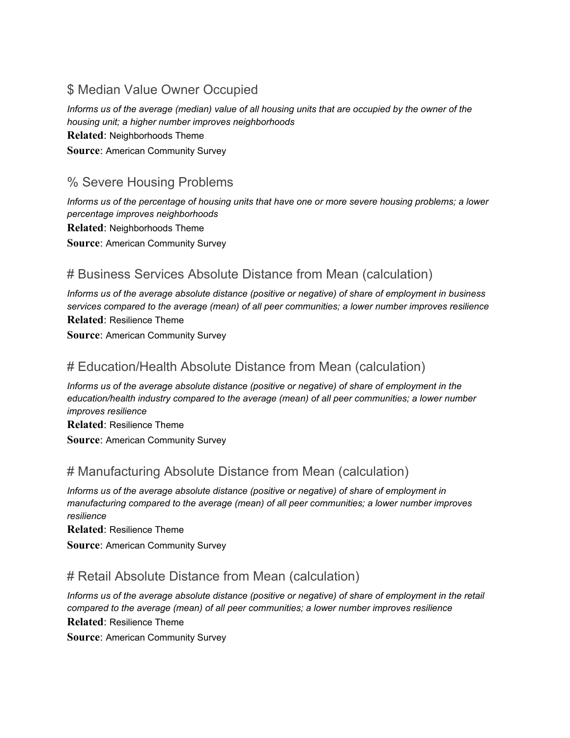#### \$ Median Value Owner Occupied

Informs us of the average (median) value of all housing units that are occupied by the owner of the *housing unit; a higher number improves neighborhoods* **Related**: Neighborhoods Theme **Source**: American Community Survey

#### % Severe Housing Problems

Informs us of the percentage of housing units that have one or more severe housing problems; a lower *percentage improves neighborhoods* **Related**: Neighborhoods Theme **Source**: American Community Survey

#### # Business Services Absolute Distance from Mean (calculation)

*Informs us of the average absolute distance (positive or negative) of share of employment in business services compared to the average (mean) of all peer communities; a lower number improves resilience* **Related**: Resilience Theme

**Source**: American Community Survey

#### # Education/Health Absolute Distance from Mean (calculation)

*Informs us of the average absolute distance (positive or negative) of share of employment in the education/health industry compared to the average (mean) of all peer communities; a lower number improves resilience*

**Related**: Resilience Theme **Source**: American Community Survey

#### # Manufacturing Absolute Distance from Mean (calculation)

*Informs us of the average absolute distance (positive or negative) of share of employment in manufacturing compared to the average (mean) of all peer communities; a lower number improves resilience*

**Related**: Resilience Theme

**Source**: American Community Survey

#### # Retail Absolute Distance from Mean (calculation)

*Informs us of the average absolute distance (positive or negative) of share of employment in the retail compared to the average (mean) of all peer communities; a lower number improves resilience* **Related**: Resilience Theme

**Source**: American Community Survey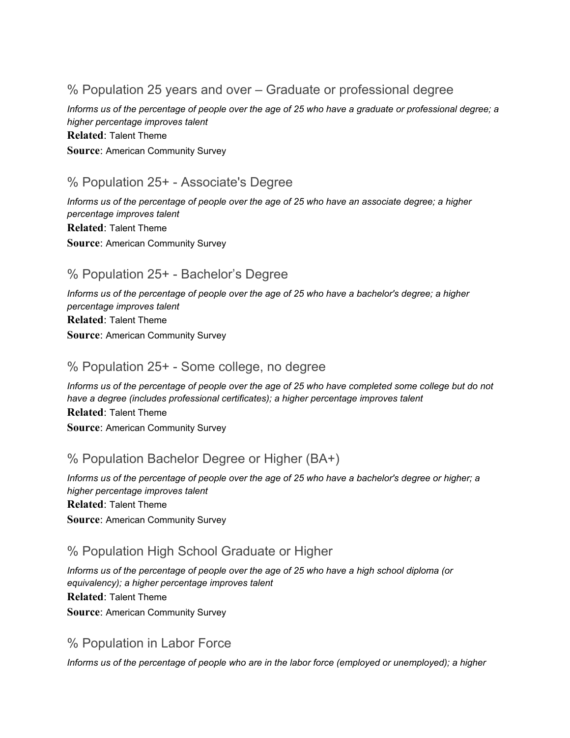% Population 25 years and over – Graduate or professional degree

Informs us of the percentage of people over the age of 25 who have a graduate or professional degree; a *higher percentage improves talent* **Related**: Talent Theme **Source**: American Community Survey

#### % Population 25+ - Associate's Degree

Informs us of the percentage of people over the age of 25 who have an associate degree; a higher *percentage improves talent* **Related**: Talent Theme **Source**: American Community Survey

#### % Population 25+ - Bachelor's Degree

Informs us of the percentage of people over the age of 25 who have a bachelor's degree; a higher *percentage improves talent* **Related**: Talent Theme **Source**: American Community Survey

#### % Population 25+ - Some college, no degree

Informs us of the percentage of people over the age of 25 who have completed some college but do not *have a degree (includes professional certificates); a higher percentage improves talent* **Related**: Talent Theme **Source**: American Community Survey

#### % Population Bachelor Degree or Higher (BA+)

Informs us of the percentage of people over the age of 25 who have a bachelor's degree or higher; a *higher percentage improves talent* **Related**: Talent Theme **Source**: American Community Survey

#### % Population High School Graduate or Higher

Informs us of the percentage of people over the age of 25 who have a high school diploma (or *equivalency); a higher percentage improves talent* **Related**: Talent Theme **Source**: American Community Survey

#### % Population in Labor Force

Informs us of the percentage of people who are in the labor force (employed or unemployed); a higher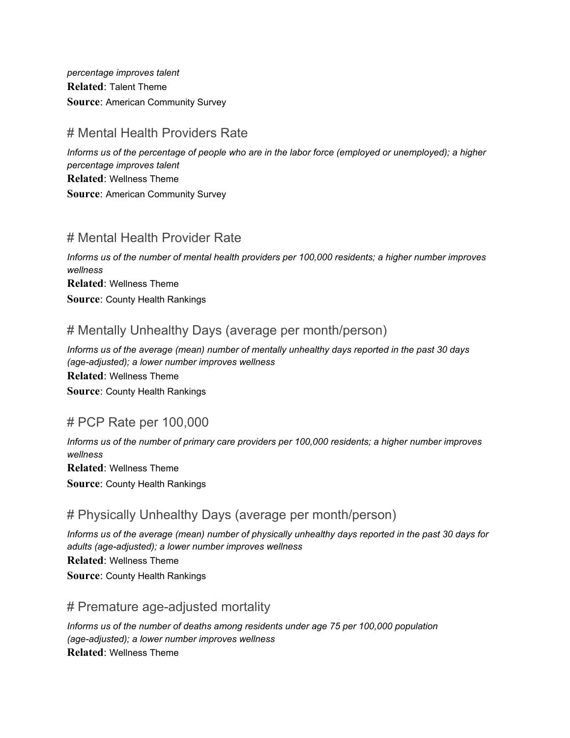*percentage improves talent* **Related**: Talent Theme **Source**: American Community Survey

#### # Mental Health Providers Rate

Informs us of the percentage of people who are in the labor force (employed or unemployed); a higher *percentage improves talent* **Related**: Wellness Theme **Source**: American Community Survey

#### # Mental Health Provider Rate

*Informs us of the number of mental health providers per 100,000 residents; a higher number improves wellness* **Related**: Wellness Theme **Source**: County Health Rankings

#### # Mentally Unhealthy Days (average per month/person)

*Informs us of the average (mean) number of mentally unhealthy days reported in the past 30 days (age-adjusted); a lower number improves wellness* **Related**: Wellness Theme **Source**: County Health Rankings

#### # PCP Rate per 100,000

*Informs us of the number of primary care providers per 100,000 residents; a higher number improves wellness* **Related**: Wellness Theme **Source**: County Health Rankings

#### # Physically Unhealthy Days (average per month/person)

Informs us of the average (mean) number of physically unhealthy days reported in the past 30 days for *adults (age-adjusted); a lower number improves wellness* **Related**: Wellness Theme **Source**: County Health Rankings

#### # Premature age-adjusted mortality

*Informs us of the number of deaths among residents under age 75 per 100,000 population (age-adjusted); a lower number improves wellness* **Related**: Wellness Theme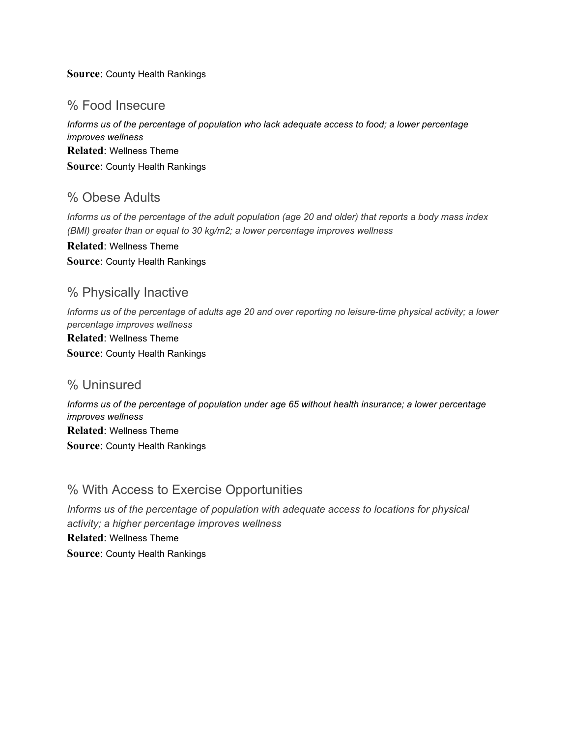#### **Source**: County Health Rankings

#### % Food Insecure

*Informs us of the percentage of population who lack adequate access to food; a lower percentage improves wellness* **Related**: Wellness Theme **Source**: County Health Rankings

#### % Obese Adults

Informs us of the percentage of the adult population (age 20 and older) that reports a body mass index *(BMI) greater than or equal to 30 kg/m2; a lower percentage improves wellness*

**Related**: Wellness Theme **Source**: County Health Rankings

#### % Physically Inactive

Informs us of the percentage of adults age 20 and over reporting no leisure-time physical activity; a lower *percentage improves wellness* **Related**: Wellness Theme **Source**: County Health Rankings

#### % Uninsured

*Informs us of the percentage of population under age 65 without health insurance; a lower percentage improves wellness* **Related**: Wellness Theme **Source**: County Health Rankings

#### % With Access to Exercise Opportunities

*Informs us of the percentage of population with adequate access to locations for physical activity; a higher percentage improves wellness*

**Related**: Wellness Theme **Source**: County Health Rankings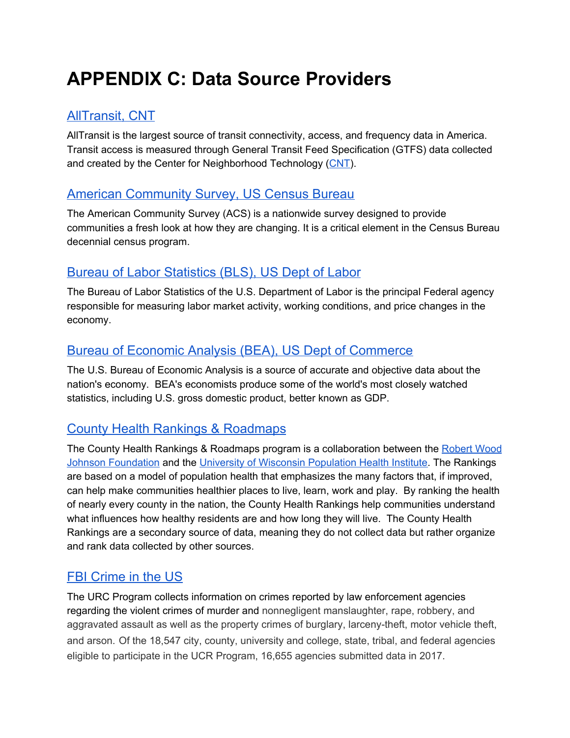## **APPENDIX C: Data Source Providers**

#### [AllTransit,](http://alltransit.cnt.org/) CNT

AllTransit is the largest source of transit connectivity, access, and frequency data in America. Transit access is measured through General Transit Feed Specification (GTFS) data collected and created by the Center for Neighborhood Technology ([CNT](http://www.cnt.org/)).

#### American [Community](https://factfinder.census.gov/) Survey, US Census Bureau

The American Community Survey (ACS) is a nationwide survey designed to provide communities a fresh look at how they are changing. It is a critical element in the Census Bureau decennial census program.

#### Bureau of Labor [Statistics](https://www.bls.gov/) (BLS), US Dept of Labor

The Bureau of Labor Statistics of the U.S. Department of Labor is the principal Federal agency responsible for measuring labor market activity, working conditions, and price changes in the economy.

#### Bureau of Economic Analysis (BEA), US Dept of [Commerce](https://www.bea.gov/)

The U.S. Bureau of Economic Analysis is a source of accurate and objective data about the nation's economy. BEA's economists produce some of the world's most closely watched statistics, including U.S. gross domestic product, better known as GDP.

#### County Health Rankings & [Roadmaps](http://www.countyhealthrankings.org/explore-health-rankings/rankings-data-documentation)

The County Health Rankings & Roadmaps program is a collaboration between the [Robert](http://www.countyhealthrankings.org/about-us#RWJF) Wood Johnson [Foundation](http://www.countyhealthrankings.org/about-us#RWJF) and the University of Wisconsin [Population](http://www.countyhealthrankings.org/about-us#UWPHI) Health Institute. The Rankings are based on a model of population health that emphasizes the many factors that, if improved, can help make communities healthier places to live, learn, work and play. By ranking the health of nearly every county in the nation, the County Health Rankings help communities understand what influences how healthy residents are and how long they will live. The County Health Rankings are a secondary source of data, meaning they do not collect data but rather organize and rank data collected by other sources.

#### FBI [Crime](https://ucr.fbi.gov/crime-in-the-u.s) in the US

The URC Program collects information on crimes reported by law enforcement agencies regarding the violent crimes of murder and nonnegligent manslaughter, rape, robbery, and aggravated assault as well as the property crimes of burglary, larceny-theft, motor vehicle theft, and arson. Of the 18,547 city, county, university and college, state, tribal, and federal agencies eligible to participate in the UCR Program, 16,655 agencies submitted data in 2017.